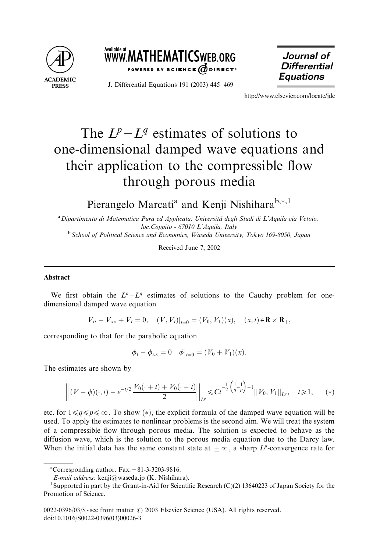



J. Differential Equations 191 (2003) 445–469

Journal of **Differential Equations** 

http://www.elsevier.com/locate/ide

# The  $L^p-L^q$  estimates of solutions to one-dimensional damped wave equations and their application to the compressible flow through porous media

Pierangelo Marcati<sup>a</sup> and Kenji Nishihara<sup>b,\*,1</sup>

<sup>a</sup> Dipartimento di Matematica Pura ed Applicata, Universitá degli Studi di L'Aquila via Vetoio, loc.Coppito - 67010 L'Aquila, Italy

<sup>b</sup> School of Political Science and Economics, Waseda University, Tokyo 169-8050, Japan

Received June 7, 2002

## Abstract

We first obtain the  $L^p - L^q$  estimates of solutions to the Cauchy problem for onedimensional damped wave equation

 $V_{tt} - V_{xx} + V_t = 0$ ,  $(V, V_t)|_{t=0} = (V_0, V_1)(x)$ ,  $(x, t) \in \mathbf{R} \times \mathbf{R}_+$ ,

corresponding to that for the parabolic equation

$$
\phi_t - \phi_{xx} = 0 \quad \phi|_{t=0} = (V_0 + V_1)(x).
$$

The estimates are shown by

$$
\left\| (V - \phi)(\cdot, t) - e^{-t/2} \frac{V_0(\cdot + t) + V_0(\cdot - t)}{2} \right\|_{L^p} \leq C t^{-\frac{1}{2} \left( \frac{1}{q} - \frac{1}{p} \right) - 1} \| V_0, V_1 \|_{L^q}, \quad t \geq 1, \quad (*)
$$

etc. for  $1 \leq q \leq p \leq \infty$ . To show (\*), the explicit formula of the damped wave equation will be used. To apply the estimates to nonlinear problems is the second aim. We will treat the system of a compressible flow through porous media. The solution is expected to behave as the diffusion wave, which is the solution to the porous media equation due to the Darcy law. When the initial data has the same constant state at  $\pm \infty$ , a sharp L<sup>p</sup>-convergence rate for

 $^*$ Corresponding author. Fax:  $+81-3-3203-9816$ .

E-mail address: kenji@waseda.jp (K. Nishihara). <sup>1</sup>

<sup>&</sup>lt;sup>1</sup> Supported in part by the Grant-in-Aid for Scientific Research (C)(2) 13640223 of Japan Society for the Promotion of Science.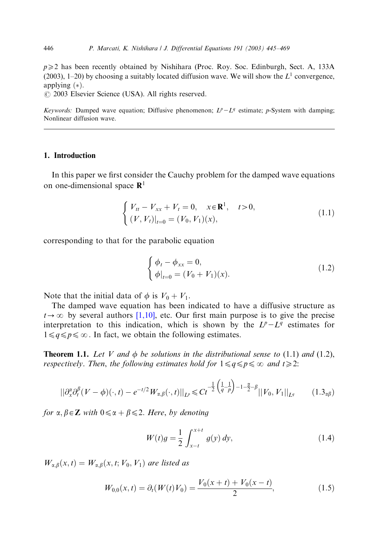$p \geq 2$  has been recently obtained by Nishihara (Proc. Roy. Soc. Edinburgh, Sect. A, 133A (2003), 1–20) by choosing a suitably located diffusion wave. We will show the  $L<sup>1</sup>$  convergence, applying  $(*)$ .

 $Q$  2003 Elsevier Science (USA). All rights reserved.

Keywords: Damped wave equation; Diffusive phenomenon;  $L^p - L^q$  estimate; p-System with damping; Nonlinear diffusion wave.

### 1. Introduction

In this paper we first consider the Cauchy problem for the damped wave equations on one-dimensional space  $\mathbb{R}^1$ 

$$
\begin{cases} V_{tt} - V_{xx} + V_t = 0, & x \in \mathbf{R}^1, \quad t > 0, \\ (V, V_t)|_{t=0} = (V_0, V_1)(x), \end{cases}
$$
(1.1)

corresponding to that for the parabolic equation

$$
\begin{cases} \phi_t - \phi_{xx} = 0, \\ \phi|_{t=0} = (V_0 + V_1)(x). \end{cases}
$$
 (1.2)

Note that the initial data of  $\phi$  is  $V_0 + V_1$ .

The damped wave equation has been indicated to have a diffusive structure as  $t\rightarrow\infty$  by several authors [\[1,10\],](#page-23-0) etc. Our first main purpose is to give the precise interpretation to this indication, which is shown by the  $L^p - L^q$  estimates for  $1 \leq q \leq p \leq \infty$ . In fact, we obtain the following estimates.

**Theorem 1.1.** Let V and  $\phi$  be solutions in the distributional sense to (1.1) and (1.2), respectively. Then, the following estimates hold for  $1 \leq q \leq p \leq \infty$  and  $t \geq 2$ :

$$
||\partial_x^{\alpha} \partial_t^{\beta} (V - \phi)(\cdot, t) - e^{-t/2} W_{\alpha, \beta}(\cdot, t)||_{L^p} \leq C t^{-\frac{1}{2} \left(\frac{1}{q} - \frac{1}{p}\right) - 1 - \frac{\alpha}{2} - \beta} ||V_0, V_1||_{L^q}
$$
 (1.3<sub>a</sub>\beta)

for  $\alpha$ ,  $\beta \in \mathbb{Z}$  with  $0 \leq \alpha + \beta \leq 2$ . Here, by denoting

$$
W(t)g = \frac{1}{2} \int_{x-t}^{x+t} g(y) dy,
$$
\n(1.4)

 $W_{\alpha,\beta}(x,t) = W_{\alpha,\beta}(x,t; V_0, V_1)$  are listed as

$$
W_{0,0}(x,t) = \partial_t(W(t)V_0) = \frac{V_0(x+t) + V_0(x-t)}{2},\tag{1.5}
$$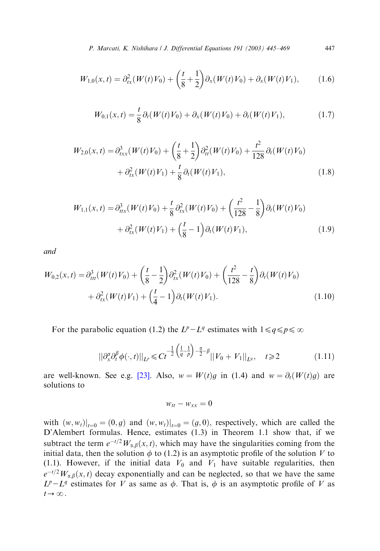P. Marcati, K. Nishihara / J. Differential Equations 191 (2003) 445–469 447

$$
W_{1,0}(x,t) = \partial_{tx}^2(W(t)V_0) + \left(\frac{t}{8} + \frac{1}{2}\right)\partial_x(W(t)V_0) + \partial_x(W(t)V_1),\tag{1.6}
$$

$$
W_{0,1}(x,t) = \frac{t}{8} \partial_t (W(t) V_0) + \partial_x (W(t) V_0) + \partial_t (W(t) V_1), \tag{1.7}
$$

$$
W_{2,0}(x,t) = \partial_{txx}^3(W(t)V_0) + \left(\frac{t}{8} + \frac{1}{2}\right)\partial_{tt}^2(W(t)V_0) + \frac{t^2}{128}\partial_t(W(t)V_0) + \partial_{tx}^2(W(t)V_1) + \frac{t}{8}\partial_t(W(t)V_1),
$$
\n(1.8)

$$
W_{1,1}(x,t) = \partial_{tx}^3(W(t)V_0) + \frac{t}{8} \partial_{tx}^2(W(t)V_0) + \left(\frac{t^2}{128} - \frac{1}{8}\right) \partial_t(W(t)V_0) + \partial_{tx}^2(W(t)V_1) + \left(\frac{t}{8} - 1\right) \partial_t(W(t)V_1),
$$
(1.9)

and

$$
W_{0,2}(x,t) = \partial_{tt}^3(W(t)V_0) + \left(\frac{t}{8} - \frac{1}{2}\right)\partial_{tx}^2(W(t)V_0) + \left(\frac{t^2}{128} - \frac{t}{8}\right)\partial_t(W(t)V_0) + \partial_{tx}^2(W(t)V_1) + \left(\frac{t}{4} - 1\right)\partial_t(W(t)V_1).
$$
 (1.10)

For the parabolic equation (1.2) the  $L^p - L^q$  estimates with  $1 \leq q \leq p \leq \infty$ 

$$
||\partial_x^{\alpha} \partial_t^{\beta} \phi(\cdot, t)||_{L^p} \leq C t^{-\frac{1}{2} \left(\frac{1}{q} - \frac{1}{p}\right) - \frac{\alpha}{2} - \beta} ||V_0 + V_1||_{L^q}, \quad t \geq 2
$$
 (1.11)

are well-known. See e.g. [\[23\]](#page-24-0). Also,  $w = W(t)g$  in (1.4) and  $w = \partial_t(W(t)g)$  are solutions to

$$
w_{tt} - w_{xx} = 0
$$

with  $(w, w_t)|_{t=0} = (0, g)$  and  $(w, w_t)|_{t=0} = (g, 0)$ , respectively, which are called the D'Alembert formulas. Hence, estimates (1.3) in Theorem 1.1 show that, if we subtract the term  $e^{-t/2}W_{\alpha,\beta}(x,t)$ , which may have the singularities coming from the initial data, then the solution  $\phi$  to (1.2) is an asymptotic profile of the solution V to (1.1). However, if the initial data  $V_0$  and  $V_1$  have suitable regularities, then  $e^{-t/2}W_{\alpha,\beta}(x,t)$  decay exponentially and can be neglected, so that we have the same  $L^p-L^q$  estimates for V as same as  $\phi$ . That is,  $\phi$  is an asymptotic profile of V as  $t\rightarrow\infty$ .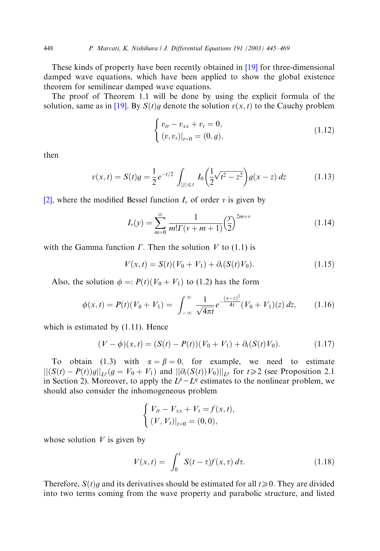These kinds of property have been recently obtained in [\[19\]](#page-24-0) for three-dimensional damped wave equations, which have been applied to show the global existence theorem for semilinear damped wave equations.

The proof of Theorem 1.1 will be done by using the explicit formula of the solution, same as in [\[19\]](#page-24-0). By  $S(t)g$  denote the solution  $v(x, t)$  to the Cauchy problem

$$
\begin{cases} v_{tt} - v_{xx} + v_t = 0, \\ (v, v_t)|_{t=0} = (0, g), \end{cases}
$$
 (1.12)

then

$$
v(x,t) = S(t)g = \frac{1}{2}e^{-t/2} \int_{|z| \leq t} I_0\left(\frac{1}{2}\sqrt{t^2 - z^2}\right)g(x-z) dz \tag{1.13}
$$

[\[2\]](#page-23-0), where the modified Bessel function  $I_v$  of order v is given by

$$
I_{\nu}(y) = \sum_{m=0}^{\infty} \frac{1}{m! \Gamma(\nu + m + 1)} \left(\frac{y}{2}\right)^{2m+\nu} \tag{1.14}
$$

with the Gamma function  $\Gamma$ . Then the solution  $V$  to (1.1) is

$$
V(x,t) = S(t)(V_0 + V_1) + \partial_t(S(t)V_0).
$$
 (1.15)

Also, the solution  $\phi =: P(t)(V_0 + V_1)$  to (1.2) has the form

$$
\phi(x,t) = P(t)(V_0 + V_1) = \int_{-\infty}^{\infty} \frac{1}{\sqrt{4\pi t}} e^{-\frac{(x-z)^2}{4t}} (V_0 + V_1)(z) dz, \qquad (1.16)
$$

which is estimated by  $(1.11)$ . Hence

$$
(V - \phi)(x, t) = (S(t) - P(t))(V_0 + V_1) + \partial_t(S(t)V_0).
$$
 (1.17)

To obtain (1.3) with  $\alpha = \beta = 0$ , for example, we need to estimate  $||(S(t) - P(t))g||_{L^p}(g = V_0 + V_1)$  and  $||\partial_t(S(t))V_0||_{L^p}$  for  $t \ge 2$  (see Proposition 2.1) in Section 2). Moreover, to apply the  $L^p - L^q$  estimates to the nonlinear problem, we should also consider the inhomogeneous problem

$$
\begin{cases} V_{tt} - V_{xx} + V_t = f(x, t), \\ (V, V_t)|_{t=0} = (0, 0), \end{cases}
$$

whose solution  $V$  is given by

$$
V(x,t) = \int_0^t S(t-\tau)f(x,\tau) d\tau.
$$
 (1.18)

Therefore,  $S(t)g$  and its derivatives should be estimated for all  $t\geq0$ . They are divided into two terms coming from the wave property and parabolic structure, and listed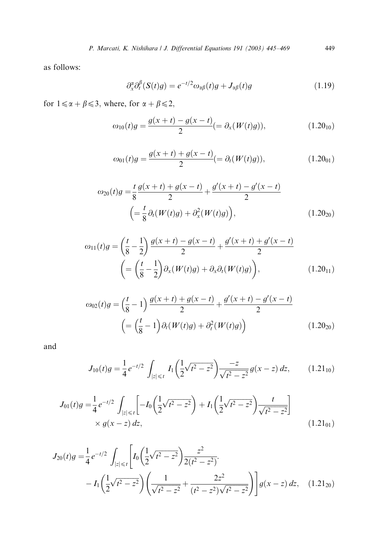as follows:

$$
\partial_x^{\alpha} \partial_t^{\beta} (S(t)g) = e^{-t/2} \omega_{\alpha\beta}(t)g + J_{\alpha\beta}(t)g \tag{1.19}
$$

for  $1 \le \alpha + \beta \le 3$ , where, for  $\alpha + \beta \le 2$ ,

$$
\omega_{10}(t)g = \frac{g(x+t) - g(x-t)}{2} (= \partial_x(W(t)g)), \qquad (1.20_{10})
$$

$$
\omega_{01}(t)g = \frac{g(x+t) + g(x-t)}{2} (= \partial_t(W(t)g)), \qquad (1.20_{01})
$$

$$
\omega_{20}(t)g = \frac{t}{8} \frac{g(x+t) + g(x-t)}{2} + \frac{g'(x+t) - g'(x-t)}{2}
$$

$$
\left( = \frac{t}{8} \partial_t (W(t)g) + \partial_x^2 (W(t)g) \right), \tag{1.20}_{20}
$$

$$
\omega_{11}(t)g = \left(\frac{t}{8} - \frac{1}{2}\right) \frac{g(x+t) - g(x-t)}{2} + \frac{g'(x+t) + g'(x-t)}{2}
$$

$$
\left( = \left(\frac{t}{8} - \frac{1}{2}\right) \partial_x(W(t)g) + \partial_x \partial_t(W(t)g) \right), \tag{1.20}_{11}
$$

$$
\omega_{02}(t)g = \left(\frac{t}{8} - 1\right)\frac{g(x+t) + g(x-t)}{2} + \frac{g'(x+t) - g'(x-t)}{2}
$$

$$
\left( = \left(\frac{t}{8} - 1\right)\partial_t(W(t)g) + \partial_t^2(W(t)g) \right)
$$
(1.20<sub>20</sub>)

and

$$
J_{10}(t)g = \frac{1}{4}e^{-t/2} \int_{|z| \le t} I_1\left(\frac{1}{2}\sqrt{t^2 - z^2}\right) \frac{-z}{\sqrt{t^2 - z^2}} g(x - z) dz, \qquad (1.21_{10})
$$

$$
J_{01}(t)g = \frac{1}{4}e^{-t/2} \int_{|z| \le t} \left[ -I_0\left(\frac{1}{2}\sqrt{t^2 - z^2}\right) + I_1\left(\frac{1}{2}\sqrt{t^2 - z^2}\right) \frac{t}{\sqrt{t^2 - z^2}} \right] \times g(x - z) dz,
$$
\n(1.21<sub>01</sub>)

$$
J_{20}(t)g = \frac{1}{4}e^{-t/2} \int_{|z| \le t} \left[ I_0 \left( \frac{1}{2} \sqrt{t^2 - z^2} \right) \frac{z^2}{2(t^2 - z^2)} - I_1 \left( \frac{1}{2} \sqrt{t^2 - z^2} \right) \left( \frac{1}{\sqrt{t^2 - z^2}} + \frac{2z^2}{(t^2 - z^2) \sqrt{t^2 - z^2}} \right) \right] g(x - z) dz, \quad (1.21_{20})
$$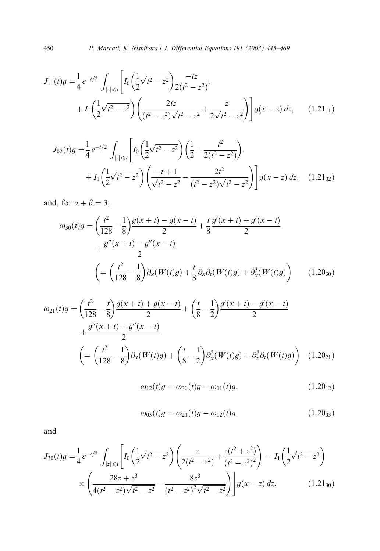450 P. Marcati, K. Nishihara / J. Differential Equations 191 (2003) 445–469

$$
J_{11}(t)g = \frac{1}{4}e^{-t/2} \int_{|z| \le t} \left[ I_0 \left( \frac{1}{2} \sqrt{t^2 - z^2} \right) \frac{-tz}{2(t^2 - z^2)} \right] + I_1 \left( \frac{1}{2} \sqrt{t^2 - z^2} \right) \left( \frac{2tz}{(t^2 - z^2) \sqrt{t^2 - z^2}} + \frac{z}{2 \sqrt{t^2 - z^2}} \right) \Bigg] g(x - z) dz, \qquad (1.21_{11})
$$

$$
J_{02}(t)g = \frac{1}{4}e^{-t/2} \int_{|z| \le t} \left[ I_0 \left( \frac{1}{2} \sqrt{t^2 - z^2} \right) \left( \frac{1}{2} + \frac{t^2}{2(t^2 - z^2)} \right) \right] dt + I_1 \left( \frac{1}{2} \sqrt{t^2 - z^2} \right) \left( \frac{-t + 1}{\sqrt{t^2 - z^2}} - \frac{2t^2}{(t^2 - z^2) \sqrt{t^2 - z^2}} \right) \right] g(x - z) dz, \quad (1.21_{02})
$$

and, for  $\alpha + \beta = 3$ ,

$$
\omega_{30}(t)g = \left(\frac{t^2}{128} - \frac{1}{8}\right) \frac{g(x+t) - g(x-t)}{2} + \frac{t}{8} \frac{g'(x+t) + g'(x-t)}{2} + \frac{g''(x+t) - g''(x-t)}{2} \left(\n= \left(\frac{t^2}{128} - \frac{1}{8}\right) \partial_x(W(t)g) + \frac{t}{8} \partial_x \partial_t(W(t)g) + \partial_x^3(W(t)g)\n\right)
$$
\n(1.20<sub>30</sub>)

$$
\omega_{21}(t)g = \left(\frac{t^2}{128} - \frac{t}{8}\right) \frac{g(x+t) + g(x-t)}{2} + \left(\frac{t}{8} - \frac{1}{2}\right) \frac{g'(x+t) - g'(x-t)}{2} + \frac{g''(x+t) + g''(x-t)}{2} \left(\n= \left(\frac{t^2}{128} - \frac{1}{8}\right) \partial_x(W(t)g) + \left(\frac{t}{8} - \frac{1}{2}\right) \partial_x^2(W(t)g) + \partial_x^2 \partial_t(W(t)g)\n\right) \tag{1.20}_{21}
$$

$$
\omega_{12}(t)g = \omega_{30}(t)g - \omega_{11}(t)g, \qquad (1.20_{12})
$$

$$
\omega_{03}(t)g = \omega_{21}(t)g - \omega_{02}(t)g, \qquad (1.20_{03})
$$

and

$$
J_{30}(t)g = \frac{1}{4}e^{-t/2} \int_{|z| \le t} \left[ I_0 \left( \frac{1}{2} \sqrt{t^2 - z^2} \right) \left( \frac{z}{2(t^2 - z^2)} + \frac{z(t^2 + z^2)}{(t^2 - z^2)^2} \right) - I_1 \left( \frac{1}{2} \sqrt{t^2 - z^2} \right) \right] \times \left( \frac{28z + z^3}{4(t^2 - z^2)\sqrt{t^2 - z^2}} - \frac{8z^3}{(t^2 - z^2)^2 \sqrt{t^2 - z^2}} \right) \Bigg] g(x - z) dz, \qquad (1.21_{30})
$$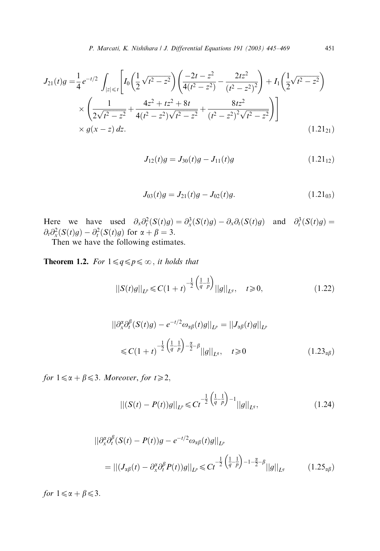$$
J_{21}(t)g = \frac{1}{4}e^{-t/2} \int_{|z| \le t} \left[ I_0 \left( \frac{1}{2} \sqrt{t^2 - z^2} \right) \left( \frac{-2t - z^2}{4(t^2 - z^2)} - \frac{2tz^2}{(t^2 - z^2)^2} \right) + I_1 \left( \frac{1}{2} \sqrt{t^2 - z^2} \right) \right] \times \left( \frac{1}{2\sqrt{t^2 - z^2}} + \frac{4z^2 + tz^2 + 8t}{4(t^2 - z^2)\sqrt{t^2 - z^2}} + \frac{8tz^2}{(t^2 - z^2)^2\sqrt{t^2 - z^2}} \right) \right] \times g(x - z) dz.
$$
\n(1.21<sub>21</sub>)

$$
J_{12}(t)g = J_{30}(t)g - J_{11}(t)g \qquad (1.21_{12})
$$

$$
J_{03}(t)g = J_{21}(t)g - J_{02}(t)g.
$$
\n(1.21<sub>03</sub>)

Here we have used  $\partial_x \partial_t^2 (S(t)g) = \partial_x^3 (S(t)g) - \partial_x \partial_t (S(t)g)$  and  $\partial_t^3 (S(t)g) =$  $\partial_t \partial_x^2 (S(t)g) - \partial_t^2 (S(t)g)$  for  $\alpha + \beta = 3$ .

Then we have the following estimates.

**Theorem 1.2.** For  $1 \leq q \leq p \leq \infty$ , it holds that

$$
||S(t)g||_{L^{p}} \leq C(1+t)^{-\frac{1}{2}\left(\frac{1}{q}-\frac{1}{p}\right)}||g||_{L^{q}}, \quad t \geq 0, \qquad (1.22)
$$

$$
\|\partial_x^{\alpha} \partial_t^{\beta} (S(t)g) - e^{-t/2} \omega_{\alpha\beta}(t)g\|_{L^p} = \|J_{\alpha\beta}(t)g\|_{L^p}
$$
  

$$
\leq C(1+t)^{-\frac{1}{2}(\frac{1}{q}-\frac{1}{p})-\frac{\alpha}{2}-\beta} \|g\|_{L^q}, \quad t \geq 0
$$
 (1.23 <sub>$\alpha\beta$</sub> )

for  $1 \le \alpha + \beta \le 3$ . Moreover, for  $t \ge 2$ ,

$$
\| (S(t) - P(t))g \|_{L^p} \leq C t^{-\frac{1}{2} \left( \frac{1}{q} - \frac{1}{p} \right) - 1} \| g \|_{L^q},
$$
\n(1.24)

$$
\|\partial_x^{\alpha}\partial_t^{\beta}(S(t) - P(t))g - e^{-t/2}\omega_{\alpha\beta}(t)g\|_{L^p}
$$
  
= 
$$
\|(J_{\alpha\beta}(t) - \partial_x^{\alpha}\partial_t^{\beta}P(t))g\|_{L^p} \le Ct^{-\frac{1}{2}\left(\frac{1}{q} - \frac{1}{p}\right) - 1 - \frac{\alpha}{2} - \beta}||g||_{L^q}
$$
 (1.25<sub>a</sub>\beta)

for  $1 \le \alpha + \beta \le 3$ .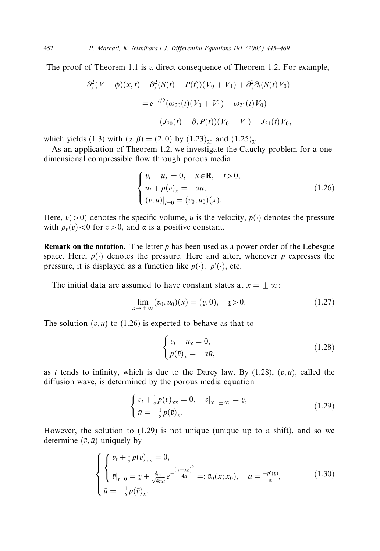The proof of Theorem 1.1 is a direct consequence of Theorem 1.2. For example,

$$
\partial_x^2 (V - \phi)(x, t) = \partial_x^2 (S(t) - P(t))(V_0 + V_1) + \partial_x^2 \partial_t (S(t) V_0)
$$
  
=  $e^{-t/2} (\omega_{20}(t) (V_0 + V_1) - \omega_{21}(t) V_0)$   
+  $(J_{20}(t) - \partial_x P(t)) (V_0 + V_1) + J_{21}(t) V_0,$ 

which yields (1.3) with  $(\alpha, \beta) = (2, 0)$  by  $(1.23)_{20}$  and  $(1.25)_{21}$ .

As an application of Theorem 1.2, we investigate the Cauchy problem for a onedimensional compressible flow through porous media

$$
\begin{cases}\nv_t - u_x = 0, & x \in \mathbb{R}, \quad t > 0, \\
u_t + p(v)_x = -\alpha u, \\
(v, u)|_{t=0} = (v_0, u_0)(x).\n\end{cases}
$$
\n(1.26)

Here,  $v(>0)$  denotes the specific volume, u is the velocity,  $p(\cdot)$  denotes the pressure with  $p_v(v) < 0$  for  $v > 0$ , and  $\alpha$  is a positive constant.

**Remark on the notation.** The letter  $p$  has been used as a power order of the Lebesgue space. Here,  $p(\cdot)$  denotes the pressure. Here and after, whenever p expresses the pressure, it is displayed as a function like  $p(\cdot)$ ,  $p'(\cdot)$ , etc.

The initial data are assumed to have constant states at  $x = \pm \infty$ :

$$
\lim_{x \to \pm \infty} (v_0, u_0)(x) = (v_0, 0), \quad v > 0.
$$
\n(1.27)

The solution  $(v, u)$  to (1.26) is expected to behave as that to

$$
\begin{cases} \bar{v}_t - \bar{u}_x = 0, \\ p(\bar{v})_x = -\alpha \bar{u}, \end{cases}
$$
\n(1.28)

as t tends to infinity, which is due to the Darcy law. By (1.28),  $(\bar{v}, \bar{u})$ , called the diffusion wave, is determined by the porous media equation

$$
\begin{cases} \bar{v}_t + \frac{1}{\alpha} p(\bar{v})_{xx} = 0, & \bar{v}|_{x=\pm\infty} = \underline{v}, \\ \bar{u} = -\frac{1}{\alpha} p(\bar{v})_{x}. \end{cases}
$$
(1.29)

However, the solution to  $(1.29)$  is not unique (unique up to a shift), and so we determine  $(\bar{v}, \bar{u})$  uniquely by

$$
\begin{cases} \begin{cases} \bar{v}_t + \frac{1}{\alpha} p(\bar{v})_{xx} = 0, \\ \bar{v}|_{t=0} = \underline{v} + \frac{\delta_{0v}}{\sqrt{4\pi a}} e^{-\frac{(x+x_0)^2}{4a}} =: \bar{v}_0(x; x_0), \quad a = \frac{-p'(v)}{\alpha}, \\ \bar{u} = -\frac{1}{\alpha} p(\bar{v})_x. \end{cases} \end{cases} \tag{1.30}
$$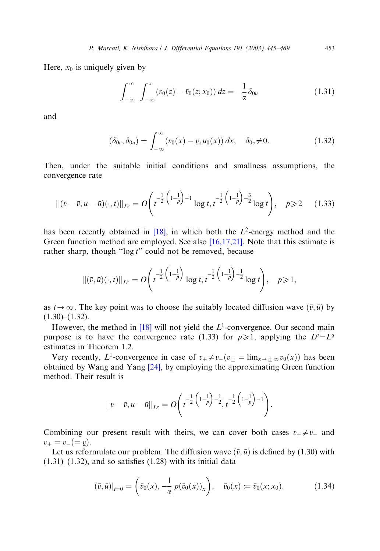Here,  $x_0$  is uniquely given by

$$
\int_{-\infty}^{\infty} \int_{-\infty}^{x} (v_0(z) - \bar{v}_0(z; x_0)) dz = -\frac{1}{\alpha} \delta_{0u}
$$
 (1.31)

and

$$
(\delta_{0v}, \delta_{0u}) = \int_{-\infty}^{\infty} (v_0(x) - v, u_0(x)) dx, \quad \delta_{0v} \neq 0.
$$
 (1.32)

Then, under the suitable initial conditions and smallness assumptions, the convergence rate

$$
||(v - \bar{v}, u - \bar{u})(\cdot, t)||_{L^p} = O\left(t^{-\frac{1}{2}\left(1 - \frac{1}{p}\right) - 1} \log t, t^{-\frac{1}{2}\left(1 - \frac{1}{p}\right) - \frac{3}{2}} \log t\right), \quad p \ge 2 \quad (1.33)
$$

has been recently obtained in [\[18\]](#page-24-0), in which both the  $L^2$ -energy method and the Green function method are employed. See also  $[16,17,21]$ . Note that this estimate is rather sharp, though " $\log t$ " could not be removed, because

$$
||(\bar{v}, \bar{u})(\cdot, t)||_{L^p} = O\left(t^{-\frac{1}{2}\left(1-\frac{1}{p}\right)}\log t, t^{-\frac{1}{2}\left(1-\frac{1}{p}\right)-\frac{1}{2}}\log t\right), \quad p \geq 1,
$$

as  $t\rightarrow\infty$ . The key point was to choose the suitably located diffusion wave  $(\bar{v}, \bar{u})$  by  $(1.30)$ – $(1.32)$ .

However, the method in [\[18\]](#page-24-0) will not yield the  $L^1$ -convergence. Our second main purpose is to have the convergence rate (1.33) for  $p\geq 1$ , applying the  $L^p-L^q$ estimates in Theorem 1.2.

Very recently, L<sup>1</sup>-convergence in case of  $v_+ \neq v_-(v_\pm = \lim_{x \to \pm \infty} v_0(x))$  has been obtained by Wang and Yang  $[24]$ , by employing the approximating Green function method. Their result is

$$
||v - \bar{v}, u - \bar{u}||_{L^p} = O\left(t^{-\frac{1}{2}\left(1-\frac{1}{p}\right)-\frac{1}{2}}, t^{-\frac{1}{2}\left(1-\frac{1}{p}\right)-1}\right).
$$

Combining our present result with theirs, we can cover both cases  $v_+ \neq v_-$  and  $v_+ = v_- (= \underline{v}).$ <br>Let us refor

Let us reformulate our problem. The diffusion wave  $(\bar{v}, \bar{u})$  is defined by (1.30) with  $(1.31)$ – $(1.32)$ , and so satisfies  $(1.28)$  with its initial data

$$
(\bar{v}, \bar{u})|_{t=0} = \left(\bar{v}_0(x), -\frac{1}{\alpha} p(\bar{v}_0(x))_x\right), \quad \bar{v}_0(x) := \bar{v}_0(x; x_0).
$$
 (1.34)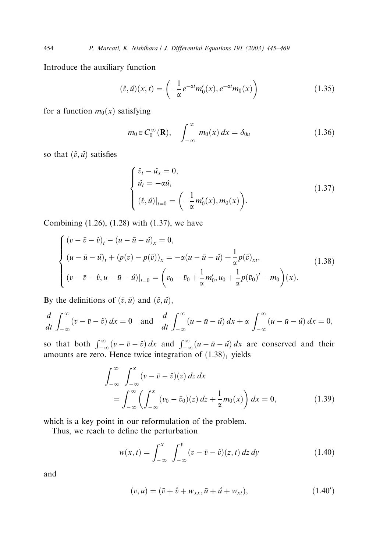Introduce the auxiliary function

$$
(\hat{v},\hat{u})(x,t) = \left(-\frac{1}{\alpha}e^{-\alpha t}m_0'(x), e^{-\alpha t}m_0(x)\right)
$$
\n(1.35)

for a function  $m_0(x)$  satisfying

$$
m_0 \in C_0^{\infty}(\mathbf{R}), \quad \int_{-\infty}^{\infty} m_0(x) dx = \delta_{0u}
$$
 (1.36)

so that  $(\hat{v}, \hat{u})$  satisfies

$$
\begin{cases}\n\hat{v}_t - \hat{u}_x = 0, \\
\hat{u}_t = -\alpha \hat{u}, \\
(\hat{v}, \hat{u})|_{t=0} = \left(-\frac{1}{\alpha} m_0'(x), m_0(x)\right).\n\end{cases}
$$
\n(1.37)

Combining (1.26), (1.28) with (1.37), we have

$$
\begin{cases}\n(v - \bar{v} - \hat{v})_t - (u - \bar{u} - \hat{u})_x = 0, \\
(u - \bar{u} - \hat{u})_t + (p(v) - p(\bar{v}))_x = -\alpha(u - \bar{u} - \hat{u}) + \frac{1}{\alpha}p(\bar{v})_{xt}, \\
(v - \bar{v} - \hat{v}, u - \bar{u} - \hat{u})|_{t=0} = \left(v_0 - \bar{v}_0 + \frac{1}{\alpha}m'_0, u_0 + \frac{1}{\alpha}p(\bar{v}_0)' - m_0\right)(x).\n\end{cases}
$$
\n(1.38)

By the definitions of  $(\bar{v}, \bar{u})$  and  $(\hat{v}, \hat{u})$ ,

$$
\frac{d}{dt} \int_{-\infty}^{\infty} (v - \bar{v} - \hat{v}) dx = 0 \text{ and } \frac{d}{dt} \int_{-\infty}^{\infty} (u - \bar{u} - \hat{u}) dx + \alpha \int_{-\infty}^{\infty} (u - \bar{u} - \hat{u}) dx = 0,
$$

so that both  $\int_{-\infty}^{\infty} (v - \bar{v} - \hat{v}) dx$  and  $\int_{-\infty}^{\infty} (u - \bar{u} - \hat{u}) dx$  are conserved and their amounts are zero. Hence twice integration of  $(1.38)<sub>1</sub>$  yields

$$
\int_{-\infty}^{\infty} \int_{-\infty}^{x} (v - \bar{v} - \hat{v})(z) dz dx
$$
  
= 
$$
\int_{-\infty}^{\infty} \left( \int_{-\infty}^{x} (v_0 - \bar{v}_0)(z) dz + \frac{1}{\alpha} m_0(x) \right) dx = 0,
$$
 (1.39)

which is a key point in our reformulation of the problem.

Thus, we reach to define the perturbation

$$
w(x,t) = \int_{-\infty}^{x} \int_{-\infty}^{y} (v - \bar{v} - \hat{v})(z, t) dz dy
$$
 (1.40)

and

$$
(v, u) = (\bar{v} + \hat{v} + w_{xx}, \bar{u} + \hat{u} + w_{xt}),
$$
\n(1.40')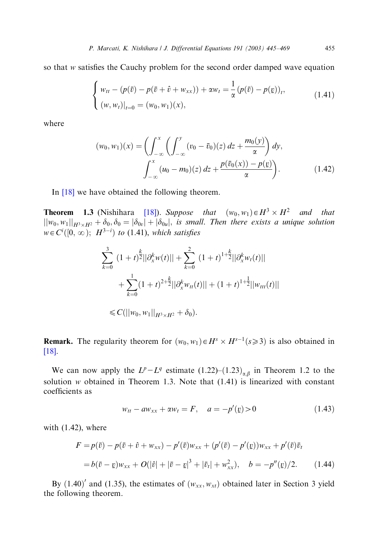so that w satisfies the Cauchy problem for the second order damped wave equation

$$
\begin{cases}\nw_{tt} - (p(\bar{v}) - p(\bar{v} + \hat{v} + w_{xx})) + \alpha w_t = \frac{1}{\alpha} (p(\bar{v}) - p(\underline{v}))_t, \\
(w, w_t)|_{t=0} = (w_0, w_1)(x),\n\end{cases}
$$
\n(1.41)

where

$$
(w_0, w_1)(x) = \left(\int_{-\infty}^x \left(\int_{-\infty}^y (v_0 - \bar{v}_0)(z) dz + \frac{m_0(y)}{\alpha}\right) dy, \right. \int_{-\infty}^x (u_0 - m_0)(z) dz + \frac{p(\bar{v}_0(x)) - p(\underline{v})}{\alpha}\right).
$$
 (1.42)

In  $[18]$  we have obtained the following theorem.

**Theorem 1.3** (Nishihara [\[18\]\)](#page-24-0). Suppose that  $(w_0, w_1) \in H^3 \times H^2$  and that  $||w_0, w_1||_{H^3 \times H^2} + \delta_0, \delta_0 = |\delta_{0v}| + |\delta_{0u}|$ , is small. Then there exists a unique solution  $w \in C<sup>i</sup>(0, \infty);$   $H<sup>3-i</sup>$  to (1.41), which satisfies

$$
\sum_{k=0}^{3} (1+t)^{\frac{k}{2}} ||\partial_{x}^{k} w(t)|| + \sum_{k=0}^{2} (1+t)^{1+\frac{k}{2}} ||\partial_{x}^{k} w_{t}(t)||
$$
  
+ 
$$
\sum_{k=0}^{1} (1+t)^{2+\frac{k}{2}} ||\partial_{x}^{k} w_{t}(t)|| + (1+t)^{1+\frac{1}{2}} ||w_{ttt}(t)||
$$
  

$$
\leq C(||w_{0}, w_{1}||_{H^{3} \times H^{2}} + \delta_{0}).
$$

**Remark.** The regularity theorem for  $(w_0, w_1) \in H^s \times H^{s-1}$  ( $s \ge 3$ ) is also obtained in [\[18\]](#page-24-0).

We can now apply the  $L^p - L^q$  estimate  $(1.22)$ – $(1.23)_{\alpha,\beta}$  in Theorem 1.2 to the solution  $w$  obtained in Theorem 1.3. Note that (1.41) is linearized with constant coefficients as

$$
w_{tt} - aw_{xx} + \alpha w_t = F, \quad a = -p'(v) > 0 \tag{1.43}
$$

with (1.42), where

$$
F = p(\bar{v}) - p(\bar{v} + \hat{v} + w_{xx}) - p'(\bar{v})w_{xx} + (p'(\bar{v}) - p'(v))w_{xx} + p'(\bar{v})\bar{v}_t
$$
  
=  $b(\bar{v} - v)w_{xx} + O(|\hat{v}| + |\bar{v} - v|^3 + |\bar{v}_t| + w_{xx}^2), \quad b = -p''(v)/2.$  (1.44)

By (1.40)<sup> $\prime$ </sup> and (1.35), the estimates of  $(w_{xx}, w_{xt})$  obtained later in Section 3 yield the following theorem.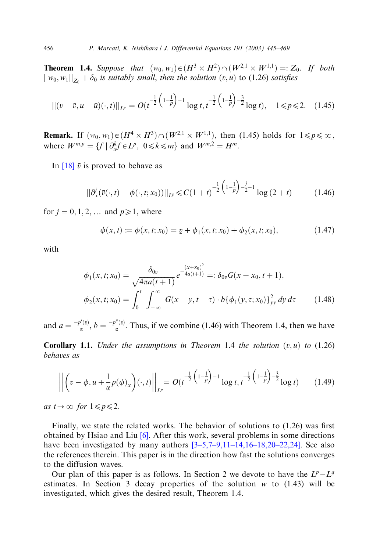**Theorem 1.4.** Suppose that  $(w_0, w_1) \in (H^3 \times H^2) \cap (W^{2,1} \times W^{1,1}) =: Z_0$ . If both  $\|w_0, w_1\|_{Z_0} + \delta_0$  is suitably small, then the solution  $(v, u)$  to (1.26) satisfies

$$
||(v - \bar{v}, u - \bar{u})(\cdot, t)||_{L^p} = O(t^{-\frac{1}{2}\left(1 - \frac{1}{p}\right) - 1} \log t, t^{-\frac{1}{2}\left(1 - \frac{1}{p}\right) - \frac{3}{2}} \log t), \quad 1 \leq p \leq 2. \quad (1.45)
$$

**Remark.** If  $(w_0, w_1) \in (H^4 \times H^3) \cap (W^{2,1} \times W^{1,1})$ , then (1.45) holds for  $1 \leq p \leq \infty$ , where  $W^{m,p} = \{f \mid \partial_x^k f \in L^p, \ 0 \le k \le m\}$  and  $W^{m,2} = H^m$ .

In  $[18]$   $\bar{v}$  is proved to behave as

$$
||\partial_x^j(\bar{v}(\cdot,t) - \phi(\cdot,t;x_0))||_{L^p} \leq C(1+t)^{-\frac{1}{2}\left(1-\frac{1}{p}\right)-\frac{j}{2}-1}\log(2+t) \tag{1.46}
$$

for  $j = 0, 1, 2, \dots$  and  $p \ge 1$ , where

$$
\phi(x,t) := \phi(x,t;x_0) = \underline{v} + \phi_1(x,t;x_0) + \phi_2(x,t;x_0),\tag{1.47}
$$

with

$$
\phi_1(x, t; x_0) = \frac{\delta_{0v}}{\sqrt{4\pi a(t+1)}} e^{-\frac{(x+x_0)^2}{4a(t+1)}} =: \delta_{0v} G(x+x_0, t+1),
$$
  

$$
\phi_2(x, t; x_0) = \int_0^t \int_{-\infty}^{\infty} G(x-y, t-\tau) \cdot b{\{\phi_1(y, \tau; x_0)\}}_{yy}^2 dy d\tau \qquad (1.48)
$$

and  $a = \frac{-p'(v)}{a}$ ,  $b = \frac{-p''(v)}{a}$ . Thus, if we combine (1.46) with Theorem 1.4, then we have

**Corollary 1.1.** Under the assumptions in Theorem 1.4 the solution  $(v, u)$  to (1.26) behaves as

$$
\left\| \left( v - \phi, u + \frac{1}{\alpha} p(\phi)_x \right) (\cdot, t) \right\|_{L^p} = O(t^{-\frac{1}{2} \left( 1 - \frac{1}{p} \right) - 1} \log t, t^{-\frac{1}{2} \left( 1 - \frac{1}{p} \right) - \frac{3}{2}} \log t)
$$
(1.49)

as  $t\rightarrow\infty$  for  $1\leq p\leq 2$ .

Finally, we state the related works. The behavior of solutions to  $(1.26)$  was first obtained by Hsiao and Liu  $[6]$ . After this work, several problems in some directions have been investigated by many authors  $[3-5,7-9,11-14,16-18,20-22,24]$ . See also the references therein. This paper is in the direction how fast the solutions converges to the diffusion waves.

Our plan of this paper is as follows. In Section 2 we devote to have the  $L^p - L^q$ estimates. In Section 3 decay properties of the solution  $w$  to (1.43) will be investigated, which gives the desired result, Theorem 1.4.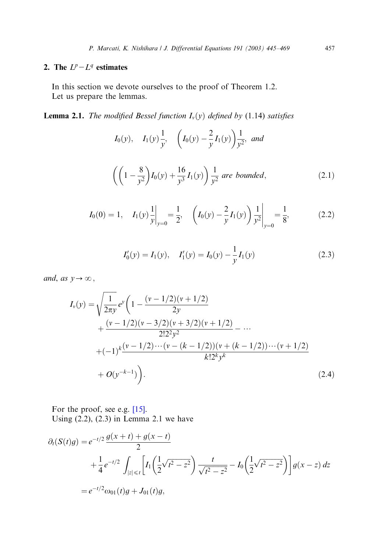# 2. The  $L^p - L^q$  estimates

In this section we devote ourselves to the proof of Theorem 1.2. Let us prepare the lemmas.

**Lemma 2.1.** The modified Bessel function  $I_v(y)$  defined by (1.14) satisfies

$$
I_0(y), \quad I_1(y)\frac{1}{y}, \quad \left(I_0(y) - \frac{2}{y}I_1(y)\right)\frac{1}{y^2}, \text{ and}
$$
\n
$$
\left(\left(1 - \frac{8}{y^2}\right)I_0(y) + \frac{16}{y^3}I_1(y)\right)\frac{1}{y^2} \text{ are bounded}, \tag{2.1}
$$

$$
I_0(0) = 1, \quad I_1(y) \frac{1}{y} \Big|_{y=0} = \frac{1}{2}, \quad \left( I_0(y) - \frac{2}{y} I_1(y) \right) \frac{1}{y^2} \Big|_{y=0} = \frac{1}{8}, \tag{2.2}
$$

$$
I'_0(y) = I_1(y), \quad I'_1(y) = I_0(y) - \frac{1}{y} I_1(y)
$$
\n(2.3)

and, as  $y \rightarrow \infty$ ,

$$
I_{\nu}(y) = \sqrt{\frac{1}{2\pi y}} e^y \left( 1 - \frac{(\nu - 1/2)(\nu + 1/2)}{2y} + \frac{(\nu - 1/2)(\nu - 3/2)(\nu + 3/2)(\nu + 1/2)}{2!2^2 y^2} - \cdots + (-1)^k \frac{(\nu - 1/2)\cdots(\nu - (k - 1/2))(\nu + (k - 1/2))\cdots(\nu + 1/2)}{k!2^k y^k} + O(y^{-k-1}) \right).
$$
\n(2.4)

For the proof, see e.g. [\[15\].](#page-23-0) Using  $(2.2)$ ,  $(2.3)$  in Lemma 2.1 we have

$$
\partial_t(S(t)g) = e^{-t/2} \frac{g(x+t) + g(x-t)}{2} \n+ \frac{1}{4} e^{-t/2} \int_{|z| \le t} \left[ I_1 \left( \frac{1}{2} \sqrt{t^2 - z^2} \right) \frac{t}{\sqrt{t^2 - z^2}} - I_0 \left( \frac{1}{2} \sqrt{t^2 - z^2} \right) \right] g(x-z) dz \n= e^{-t/2} \omega_{01}(t)g + J_{01}(t)g,
$$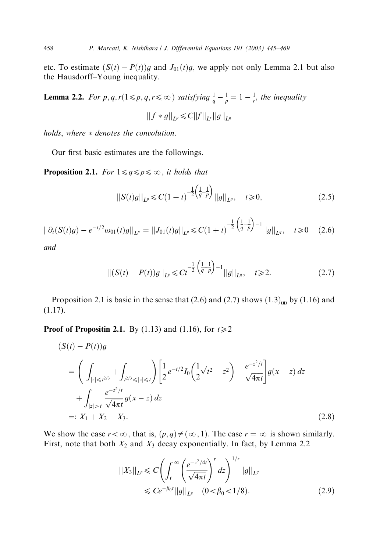etc. To estimate  $(S(t) - P(t))g$  and  $J_{01}(t)g$ , we apply not only Lemma 2.1 but also the Hausdorff–Young inequality.

**Lemma 2.2.** For p, q, r( $1 \leq p$ , q,  $r \leq \infty$ ) satisfying  $\frac{1}{q} - \frac{1}{p} = 1 - \frac{1}{r}$ , the inequality  $||f * g||_{L^p} \leq C||f||_{L^r}||g||_{L^q}$ 

holds, where  $*$  denotes the convolution.

Our first basic estimates are the followings.

**Proposition 2.1.** For  $1 \leq q \leq p \leq \infty$ , it holds that

$$
||S(t)g||_{L^{p}} \leq C(1+t)^{-\frac{1}{2}\left(\frac{1}{q}-\frac{1}{p}\right)}||g||_{L^{q}}, \quad t \geq 0, \tag{2.5}
$$

$$
||\partial_t(S(t)g) - e^{-t/2}\omega_{01}(t)g||_{L^p} = ||J_{01}(t)g||_{L^p} \le C(1+t)^{-\frac{1}{2}\left(\frac{1}{q}-\frac{1}{p}\right)-1}||g||_{L^q}, \quad t \ge 0 \quad (2.6)
$$

and

$$
\left\| (S(t) - P(t))g \right\|_{L^p} \leq C t^{-\frac{1}{2} \left( \frac{1}{q} - \frac{1}{p} \right) - 1} ||g||_{L^q}, \quad t \geq 2. \tag{2.7}
$$

Proposition 2.1 is basic in the sense that (2.6) and (2.7) shows  $(1.3)_{00}$  by (1.16) and (1.17).

**Proof of Propositin 2.1.** By (1.13) and (1.16), for  $t \ge 2$ 

$$
(S(t) - P(t))g
$$
  
=  $\left(\int_{|z| \le t^{2/3}} + \int_{t^{2/3} \le |z| \le t} \right) \left[\frac{1}{2} e^{-t/2} I_0 \left(\frac{1}{2} \sqrt{t^2 - z^2}\right) - \frac{e^{-z^2/t}}{\sqrt{4\pi t}}\right] g(x - z) dz$   
+  $\int_{|z| > t} \frac{e^{-z^2/t}}{\sqrt{4\pi t}} g(x - z) dz$   
=:  $X_1 + X_2 + X_3$ . (2.8)

We show the case  $r < \infty$ , that is,  $(p, q) \neq (\infty, 1)$ . The case  $r = \infty$  is shown similarly. First, note that both  $X_2$  and  $X_3$  decay exponentially. In fact, by Lemma 2.2

$$
||X_3||_{L^p} \leq C \left( \int_t^{\infty} \left( \frac{e^{-z^2/4t}}{\sqrt{4\pi t}} \right)^r dz \right)^{1/r} ||g||_{L^q}
$$
  
  $\leq C e^{-\beta_0 t} ||g||_{L^q} \quad (0 < \beta_0 < 1/8).$  (2.9)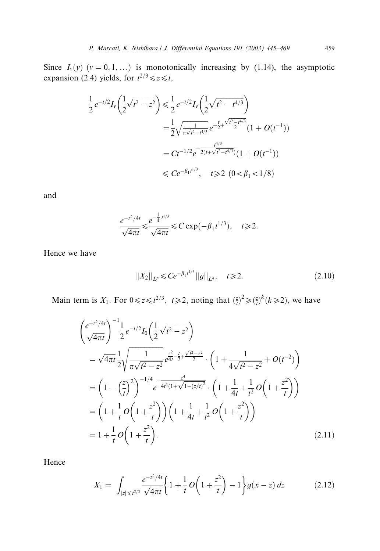Since  $I_v(y)$   $(v = 0, 1, ...)$  is monotonically increasing by (1.14), the asymptotic expansion (2.4) yields, for  $t^{2/3} \le z \le t$ ,

$$
\frac{1}{2}e^{-t/2}I_{\nu}\left(\frac{1}{2}\sqrt{t^2 - z^2}\right) \le \frac{1}{2}e^{-t/2}I_{\nu}\left(\frac{1}{2}\sqrt{t^2 - t^4/3}\right)
$$
\n
$$
= \frac{1}{2}\sqrt{\frac{1}{\pi\sqrt{t^2 - t^4/3}}}e^{-\frac{t}{2}+\frac{\sqrt{t^2 - t^4/3}}{2}}(1 + O(t^{-1}))
$$
\n
$$
= Ct^{-1/2}e^{-\frac{t^{4/3}}{2(t+\sqrt{t^2 - t^4/3})}}(1 + O(t^{-1}))
$$
\n
$$
\le Ce^{-\beta_1 t^{1/3}}, \quad t \ge 2 \ (0 < \beta_1 < 1/8)
$$

and

$$
\frac{e^{-z^2/4t}}{\sqrt{4\pi t}} \le \frac{e^{-\frac{1}{4}t^{1/3}}}{\sqrt{4\pi t}} \le C \exp(-\beta_1 t^{1/3}), \quad t \ge 2.
$$

Hence we have

$$
||X_2||_{L^p} \leq C e^{-\beta_1 t^{1/3}} ||g||_{L^q}, \quad t \geq 2. \tag{2.10}
$$

Main term is  $X_1$ . For  $0 \le z \le t^{2/3}$ ,  $t \ge 2$ , noting that  $\left(\frac{z}{t}\right)^2 \ge \left(\frac{z}{t}\right)^k (k \ge 2)$ , we have

$$
\left(\frac{e^{-z^2/4t}}{\sqrt{4\pi t}}\right)^{-1} \frac{1}{2} e^{-t/2} I_0 \left(\frac{1}{2} \sqrt{t^2 - z^2}\right)
$$
\n
$$
= \sqrt{4\pi t} \frac{1}{2} \sqrt{\frac{1}{\pi \sqrt{t^2 - z^2}}} e^{\frac{z^2}{4t} - \frac{t}{2} + \frac{\sqrt{t^2 - z^2}}{2}} \cdot \left(1 + \frac{1}{4\sqrt{t^2 - z^2}} + O(t^{-2})\right)
$$
\n
$$
= \left(1 - \left(\frac{z}{t}\right)^2\right)^{-1/4} e^{-\frac{z^4}{4t^3(1 + \sqrt{1 - (z/t)^2})}} \cdot \left(1 + \frac{1}{4t} + \frac{1}{t^2} O\left(1 + \frac{z^2}{t}\right)\right)
$$
\n
$$
= \left(1 + \frac{1}{t} O\left(1 + \frac{z^2}{t}\right)\right) \left(1 + \frac{1}{4t} + \frac{1}{t^2} O\left(1 + \frac{z^2}{t}\right)\right)
$$
\n
$$
= 1 + \frac{1}{t} O\left(1 + \frac{z^2}{t}\right).
$$
\n(2.11)

Hence

$$
X_1 = \int_{|z| \le t^{2/3}} \frac{e^{-z^2/4t}}{\sqrt{4\pi t}} \left\{ 1 + \frac{1}{t} O\left(1 + \frac{z^2}{t}\right) - 1 \right\} g(x - z) \, dz \tag{2.12}
$$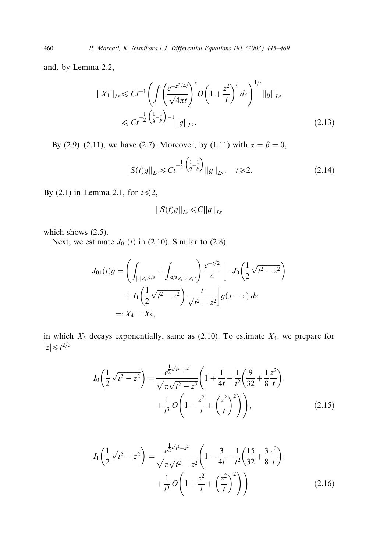and, by Lemma 2.2,

$$
||X_1||_{L^p} \le C t^{-1} \left( \int \left( \frac{e^{-z^2/4t}}{\sqrt{4\pi t}} \right)^r O\left(1 + \frac{z^2}{t}\right)^r dz \right)^{1/r} ||g||_{L^q}
$$
  
\$\le C t^{-\frac{1}{2} \left( \frac{1}{q} - \frac{1}{p} \right) - 1 ||g||\_{L^q}.\$ (2.13)

By (2.9)–(2.11), we have (2.7). Moreover, by (1.11) with  $\alpha = \beta = 0$ ,

$$
||S(t)g||_{L^{p}} \leq C t^{-\frac{1}{2} \left(\frac{1}{q} - \frac{1}{p}\right)} ||g||_{L^{q}}, \quad t \geq 2.
$$
 (2.14)

By (2.1) in Lemma 2.1, for  $t \leq 2$ ,

$$
||S(t)g||_{L^p} \leq C||g||_{L^q}
$$

which shows  $(2.5)$ .

Next, we estimate  $J_{01}(t)$  in (2.10). Similar to (2.8)

$$
J_{01}(t)g = \left(\int_{|z| \le t^{2/3}} + \int_{t^{2/3} \le |z| \le t} \right) \frac{e^{-t/2}}{4} \left[ -J_0 \left( \frac{1}{2} \sqrt{t^2 - z^2} \right) + I_1 \left( \frac{1}{2} \sqrt{t^2 - z^2} \right) \frac{t}{\sqrt{t^2 - z^2}} \right] g(x - z) dz
$$
  
=:  $X_4 + X_5$ ,

in which  $X_5$  decays exponentially, same as (2.10). To estimate  $X_4$ , we prepare for  $|z| \leq t^{2/3}$ 

$$
I_0\left(\frac{1}{2}\sqrt{t^2 - z^2}\right) = \frac{e^{\frac{1}{2}\sqrt{t^2 - z^2}}}{\sqrt{\pi\sqrt{t^2 - z^2}}}\left(1 + \frac{1}{4t} + \frac{1}{t^2}\left(\frac{9}{32} + \frac{1}{8}\frac{z^2}{t}\right) + \frac{1}{t^3}O\left(1 + \frac{z^2}{t} + \left(\frac{z^2}{t}\right)^2\right)\right),\tag{2.15}
$$

$$
I_1\left(\frac{1}{2}\sqrt{t^2 - z^2}\right) = \frac{e^{\frac{1}{2}\sqrt{t^2 - z^2}}}{\sqrt{\pi\sqrt{t^2 - z^2}}}\left(1 - \frac{3}{4t} - \frac{1}{t^2}\left(\frac{15}{32} + \frac{3}{8}\frac{z^2}{t}\right) + \frac{1}{t^3}O\left(1 + \frac{z^2}{t} + \left(\frac{z^2}{t}\right)^2\right)\right) \tag{2.16}
$$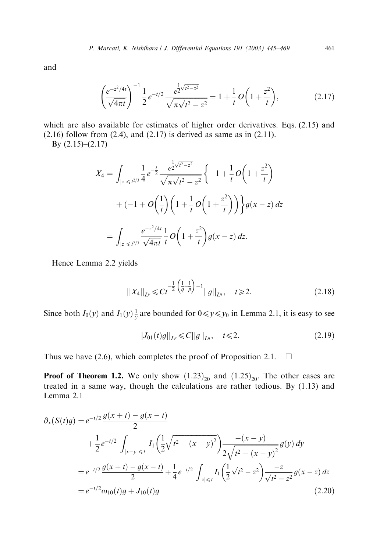and

$$
\left(\frac{e^{-z^2/4t}}{\sqrt{4\pi t}}\right)^{-1} \frac{1}{2} e^{-t/2} \frac{e^{\frac{1}{2}\sqrt{t^2 - z^2}}}{\sqrt{\pi \sqrt{t^2 - z^2}}} = 1 + \frac{1}{t} O\left(1 + \frac{z^2}{t}\right),\tag{2.17}
$$

which are also available for estimates of higher order derivatives. Eqs. (2.15) and  $(2.16)$  follow from  $(2.4)$ , and  $(2.17)$  is derived as same as in  $(2.11)$ .

By (2.15)–(2.17)

$$
X_4 = \int_{|z| \le t^{2/3}} \frac{1}{4} e^{-\frac{t}{2}} \frac{e^{\frac{1}{2}\sqrt{t^2 - z^2}}}{\sqrt{\pi \sqrt{t^2 - z^2}}} \left\{ -1 + \frac{1}{t} O\left(1 + \frac{z^2}{t}\right) + (-1 + O\left(\frac{1}{t}\right) \left(1 + \frac{1}{t} O\left(1 + \frac{z^2}{t}\right)\right) \right\} g(x - z) dz
$$
  
= 
$$
\int_{|z| \le t^{2/3}} \frac{e^{-z^2/4t}}{\sqrt{4\pi t}} \frac{1}{t} O\left(1 + \frac{z^2}{t}\right) g(x - z) dz.
$$

Hence Lemma 2.2 yields

$$
||X_4||_{L^p} \leq C t^{-\frac{1}{2} \left(\frac{1}{q} - \frac{1}{p}\right) - 1} ||g||_{L^q}, \quad t \geq 2.
$$
 (2.18)

Since both  $I_0(y)$  and  $I_1(y) \frac{1}{y}$  are bounded for  $0 \le y \le y_0$  in Lemma 2.1, it is easy to see

$$
||J_{01}(t)g||_{L^{p}} \leq C||g||_{L^{q}}, \quad t \leq 2. \tag{2.19}
$$

Thus we have (2.6), which completes the proof of Proposition 2.1.  $\Box$ 

**Proof of Theorem 1.2.** We only show  $(1.23)_{20}$  and  $(1.25)_{20}$ . The other cases are treated in a same way, though the calculations are rather tedious. By  $(1.13)$  and Lemma 2.1

$$
\partial_x(S(t)g) = e^{-t/2} \frac{g(x+t) - g(x-t)}{2} \n+ \frac{1}{2} e^{-t/2} \int_{|x-y| \le t} I_1\left(\frac{1}{2}\sqrt{t^2 - (x-y)^2}\right) \frac{-(x-y)}{2\sqrt{t^2 - (x-y)^2}} g(y) dy \n= e^{-t/2} \frac{g(x+t) - g(x-t)}{2} + \frac{1}{4} e^{-t/2} \int_{|z| \le t} I_1\left(\frac{1}{2}\sqrt{t^2 - z^2}\right) \frac{-z}{\sqrt{t^2 - z^2}} g(x-z) dz \n= e^{-t/2} \omega_{10}(t)g + J_{10}(t)g
$$
\n(2.20)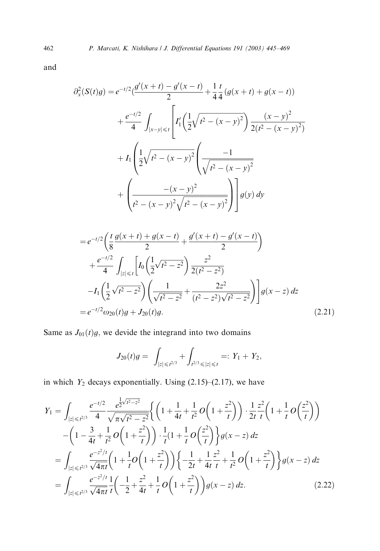and

$$
\partial_x^2(S(t)g) = e^{-t/2} \left( \frac{g'(x+t) - g'(x-t)}{2} + \frac{1}{4} \frac{t}{4} \left( g(x+t) + g(x-t) \right) \right)
$$

$$
+ \frac{e^{-t/2}}{4} \int_{|x-y| \le t} \left[ I_1' \left( \frac{1}{2} \sqrt{t^2 - (x-y)^2} \right) \frac{(x-y)^2}{2(t^2 - (x-y)^2)} \right.
$$

$$
+ I_1 \left( \frac{1}{2} \sqrt{t^2 - (x-y)^2} \left( \frac{-1}{\sqrt{t^2 - (x-y)^2}} \right) + \left( \frac{-(x-y)^2}{t^2 - (x-y)^2} \right) \right] g(y) dy
$$

$$
=e^{-t/2}\left(\frac{t}{8}\frac{g(x+t)+g(x-t)}{2}+\frac{g'(x+t)-g'(x-t)}{2}\right) +\frac{e^{-t/2}}{4}\int_{|z|\leq t}\left[I_0\left(\frac{1}{2}\sqrt{t^2-z^2}\right)\frac{z^2}{2(t^2-z^2)}\right] -I_1\left(\frac{1}{2}\sqrt{t^2-z^2}\right)\left(\frac{1}{\sqrt{t^2-z^2}}+\frac{2z^2}{(t^2-z^2)\sqrt{t^2-z^2}}\right)\right]g(x-z) dz =e^{-t/2}\omega_{20}(t)g+J_{20}(t)g.
$$
\n(2.21)

Same as  $J_{01}(t)g$ , we devide the integrand into two domains

$$
J_{20}(t)g = \int_{|z| \leq t^{2/3}} + \int_{t^{2/3} \leq |z| \leq t} =: Y_1 + Y_2,
$$

in which  $Y_2$  decays exponentially. Using (2.15)–(2.17), we have

$$
Y_{1} = \int_{|z| \leq t^{2/3}} \frac{e^{-t/2}}{4} \frac{e^{\frac{1}{2}\sqrt{t^{2}-z^{2}}}}{\sqrt{\pi\sqrt{t^{2}-z^{2}}}} \left\{ \left(1 + \frac{1}{4t} + \frac{1}{t^{2}} O\left(1 + \frac{z^{2}}{t}\right)\right) \cdot \frac{1}{2t} \frac{z^{2}}{t} \left(1 + \frac{1}{t} O\left(\frac{z^{2}}{t}\right)\right) - \left(1 - \frac{3}{4t} + \frac{1}{t^{2}} O\left(1 + \frac{z^{2}}{t}\right)\right) \cdot \frac{1}{t} (1 + \frac{1}{t} O\left(\frac{z^{2}}{t}\right) \right\} g(x - z) dz
$$
  
\n
$$
= \int_{|z| \leq t^{2/3}} \frac{e^{-z^{2}/t}}{\sqrt{4\pi t}} \left(1 + \frac{1}{t} O\left(1 + \frac{z^{2}}{t}\right)\right) \left\{-\frac{1}{2t} + \frac{1}{4t} \frac{z^{2}}{t} + \frac{1}{t^{2}} O\left(1 + \frac{z^{2}}{t}\right)\right\} g(x - z) dz
$$
  
\n
$$
= \int_{|z| \leq t^{2/3}} \frac{e^{-z^{2}/t}}{\sqrt{4\pi t}} \frac{1}{t} \left(-\frac{1}{2} + \frac{z^{2}}{4t} + \frac{1}{t} O\left(1 + \frac{z^{2}}{t}\right)\right) g(x - z) dz.
$$
 (2.22)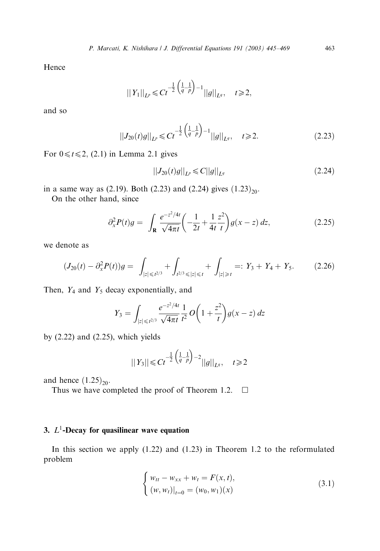Hence

$$
||Y_1||_{L^p} \leq C t^{-\frac{1}{2} \left(\frac{1}{q} - \frac{1}{p}\right) - 1} ||g||_{L^q}, \quad t \geq 2,
$$

and so

$$
||J_{20}(t)g||_{L^{p}} \leq C t^{-\frac{1}{2} \left(\frac{1}{q} - \frac{1}{p}\right) - 1} ||g||_{L^{q}}, \quad t \geq 2.
$$
 (2.23)

For  $0 \le t \le 2$ , (2.1) in Lemma 2.1 gives

$$
||J_{20}(t)g||_{L^{p}} \leq C||g||_{L^{q}}
$$
\n(2.24)

in a same way as (2.19). Both (2.23) and (2.24) gives  $(1.23)_{20}$ .

On the other hand, since

$$
\partial_x^2 P(t)g = \int_{\mathbf{R}} \frac{e^{-z^2/4t}}{\sqrt{4\pi t}} \left( -\frac{1}{2t} + \frac{1}{4t} \frac{z^2}{t} \right) g(x - z) \, dz,\tag{2.25}
$$

we denote as

$$
(J_{20}(t) - \partial_x^2 P(t))g = \int_{|z| \le t^{2/3}} + \int_{t^{2/3} \le |z| \le t} + \int_{|z| \ge t} =: Y_3 + Y_4 + Y_5. \tag{2.26}
$$

Then,  $Y_4$  and  $Y_5$  decay exponentially, and

$$
Y_3 = \int_{|z| \le t^{2/3}} \frac{e^{-z^2/4t}}{\sqrt{4\pi t}} \frac{1}{t^2} O\left(1 + \frac{z^2}{t}\right) g(x - z) dz
$$

by  $(2.22)$  and  $(2.25)$ , which yields

$$
||Y_3|| \leq C t^{-\frac{1}{2}\left(\frac{1}{q}-\frac{1}{p}\right)-2}||g||_{L^q}, \quad t \geq 2
$$

and hence  $(1.25)_{20}$ .

Thus we have completed the proof of Theorem 1.2.  $\Box$ 

## 3.  $L^1$ -Decay for quasilinear wave equation

In this section we apply  $(1.22)$  and  $(1.23)$  in Theorem 1.2 to the reformulated problem

$$
\begin{cases} w_{tt} - w_{xx} + w_t = F(x, t), \\ (w, w_t)|_{t=0} = (w_0, w_1)(x) \end{cases}
$$
 (3.1)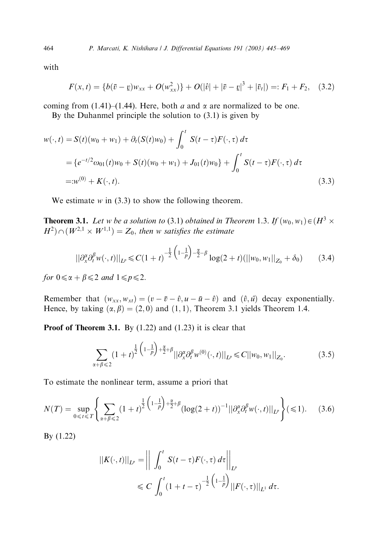with

$$
F(x,t) = \{b(\bar{v} - \underline{v})w_{xx} + O(w_{xx}^2)\} + O(|\hat{v}| + |\bar{v} - \underline{v}|^3 + |\bar{v}_t|) =: F_1 + F_2, \quad (3.2)
$$

coming from (1.41)–(1.44). Here, both a and  $\alpha$  are normalized to be one.

By the Duhanmel principle the solution to (3.1) is given by

$$
w(\cdot, t) = S(t)(w_0 + w_1) + \partial_t(S(t)w_0) + \int_0^t S(t - \tau)F(\cdot, \tau) d\tau
$$
  
=  $\{e^{-t/2}\omega_{01}(t)w_0 + S(t)(w_0 + w_1) + J_{01}(t)w_0\} + \int_0^t S(t - \tau)F(\cdot, \tau) d\tau$   
=  $w^{(0)} + K(\cdot, t).$  (3.3)

We estimate  $w$  in (3.3) to show the following theorem.

**Theorem 3.1.** Let w be a solution to (3.1) obtained in Theorem 1.3. If  $(w_0, w_1) \in (H^3 \times$  $H^2$  $\cap$   $(W^{2,1} \times W^{1,1}) = Z_0$ , then w satisfies the estimate

$$
||\partial_x^{\alpha} \partial_t^{\beta} w(\cdot, t)||_{L^p} \leq C(1+t)^{-\frac{1}{2}\left(1-\frac{1}{p}\right)-\frac{\alpha}{2}-\beta} \log(2+t)(||w_0, w_1||_{Z_0} + \delta_0)
$$
 (3.4)

for  $0 \le \alpha + \beta \le 2$  and  $1 \le p \le 2$ .

Remember that  $(w_{xx}, w_{xt}) = (v - \bar{v} - \hat{v}, u - \bar{u} - \hat{v})$  and  $(\hat{v}, \hat{u})$  decay exponentially. Hence, by taking  $(\alpha, \beta) = (2, 0)$  and  $(1, 1)$ , Theorem 3.1 yields Theorem 1.4.

**Proof of Theorem 3.1.** By  $(1.22)$  and  $(1.23)$  it is clear that

$$
\sum_{\alpha+\beta\leq 2} (1+t)^{\frac{1}{2}\left(1-\frac{1}{p}\right)+\frac{\alpha}{2}+\beta} ||\partial_x^{\alpha}\partial_t^{\beta} w^{(0)}(\cdot,t)||_{L^p} \leq C||w_0, w_1||_{Z_0}.
$$
 (3.5)

To estimate the nonlinear term, assume a priori that

$$
N(T) = \sup_{0 \leq t \leq T} \left\{ \sum_{\alpha + \beta \leq 2} (1+t)^{\frac{1}{2} \left(1 - \frac{1}{p}\right) + \frac{\alpha}{2} + \beta} (\log(2+t))^{-1} ||\partial_x^{\alpha} \partial_t^{\beta} w(\cdot, t)||_{L^p} \right\} (\leq 1).
$$
 (3.6)

By (1.22)

$$
\begin{aligned} \left\|K(\cdot,t)\right\|_{L^p} &= \left\| \int_0^t S(t-\tau)F(\cdot,\tau) \, d\tau \right\|_{L^p} \\ &\leqslant C \int_0^t \left(1+t-\tau\right)^{-\frac{1}{2}\left(1-\frac{1}{p}\right)} \left\|F(\cdot,\tau)\right\|_{L^1} \, d\tau. \end{aligned}
$$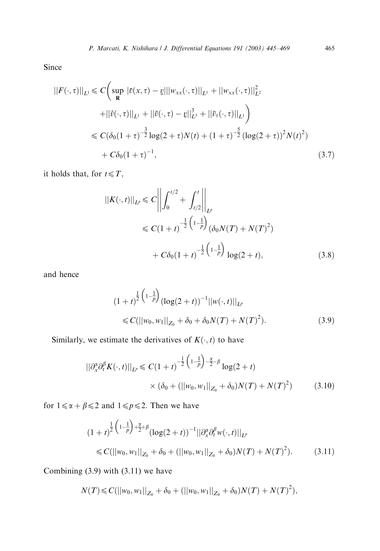Since

$$
||F(\cdot,\tau)||_{L^{1}} \leq C \Big(\sup_{\mathbf{R}} |\bar{v}(x,\tau)-\underline{v}|||w_{xx}(\cdot,\tau)||_{L^{1}} + ||w_{xx}(\cdot,\tau)||_{L^{2}}^{2} + ||\hat{v}(\cdot,\tau)||_{L^{1}} + ||\bar{v}(\cdot,\tau)-\underline{v}||_{L^{3}}^{3} + ||\bar{v}_{\tau}(\cdot,\tau)||_{L^{1}}\Big) \leq C(\delta_{0}(1+\tau)^{-\frac{3}{2}}\log(2+\tau)N(t) + (1+\tau)^{-\frac{5}{2}}(\log(2+\tau))^{2}N(t)^{2}) + C\delta_{0}(1+\tau)^{-1}, \qquad (3.7)
$$

it holds that, for  $t \leq T$ ,

$$
||K(\cdot,t)||_{L^{p}} \leq C \left\| \int_{0}^{t/2} + \int_{t/2}^{t} \right\|_{L^{p}}
$$
  
\n
$$
\leq C(1+t)^{-\frac{1}{2}\left(1-\frac{1}{p}\right)} (\delta_{0}N(T) + N(T)^{2})
$$
  
\n
$$
+ C\delta_{0}(1+t)^{-\frac{1}{2}\left(1-\frac{1}{p}\right)} \log(2+t),
$$
\n(3.8)

and hence

$$
(1+t)^{\frac{1}{2}\binom{1-\frac{1}{p}}{\log(2+t)}^{-1}||w(\cdot,t)||_{L^p}} \leq C(||w_0, w_1||_{Z_0} + \delta_0 + \delta_0 N(T) + N(T)^2).
$$
\n(3.9)

Similarly, we estimate the derivatives of  $K(\cdot, t)$  to have

$$
\|\partial_x^{\alpha}\partial_t^{\beta} K(\cdot,t)\|_{L^p} \le C(1+t)^{-\frac{1}{2}\left(1-\frac{1}{p}\right)-\frac{\alpha}{2}-\beta} \log(2+t)
$$
  
 
$$
\times (\delta_0 + (||w_0, w_1||_{Z_0} + \delta_0)N(T) + N(T)^2)
$$
(3.10)

for  $1 \le \alpha + \beta \le 2$  and  $1 \le p \le 2$ . Then we have

$$
(1+t)^{\frac{1}{2}\left(1-\frac{1}{p}\right)+\frac{\alpha}{2}+\beta}(\log(2+t))^{-1}||\partial_{x}^{\alpha}\partial_{t}^{\beta}w(\cdot,t)||_{L^{p}}\leq C(||w_{0},w_{1}||_{Z_{0}}+\delta_{0}+(||w_{0},w_{1}||_{Z_{0}}+\delta_{0})N(T)+N(T)^{2}).
$$
\n(3.11)

Combining (3.9) with (3.11) we have

$$
N(T) \leq C(||w_0, w_1||_{Z_0} + \delta_0 + (||w_0, w_1||_{Z_0} + \delta_0)N(T) + N(T)^2),
$$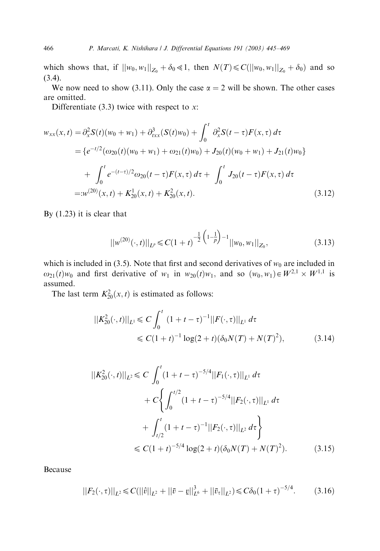which shows that, if  $||w_0, w_1||_{Z_0} + \delta_0 \ll 1$ , then  $N(T) \ll C(||w_0, w_1||_{Z_0} + \delta_0)$  and so (3.4).

We now need to show (3.11). Only the case  $\alpha = 2$  will be shown. The other cases are omitted.

Differentiate  $(3.3)$  twice with respect to x:

$$
w_{xx}(x,t) = \partial_x^2 S(t)(w_0 + w_1) + \partial_{txx}^3 (S(t)w_0) + \int_0^t \partial_x^2 S(t - \tau) F(x, \tau) d\tau
$$
  
=  $\{e^{-t/2}(\omega_{20}(t)(w_0 + w_1) + \omega_{21}(t)w_0) + J_{20}(t)(w_0 + w_1) + J_{21}(t)w_0\}$   
+  $\int_0^t e^{-(t-\tau)/2} \omega_{20}(t - \tau) F(x, \tau) d\tau + \int_0^t J_{20}(t - \tau) F(x, \tau) d\tau$   
=  $w^{(20)}(x, t) + K_{20}^1(x, t) + K_{20}^2(x, t).$  (3.12)

By (1.23) it is clear that

$$
||w^{(20)}(\cdot,t)||_{L^p} \leq C(1+t)^{-\frac{1}{2}\left(1-\frac{1}{p}\right)-1}||w_0,w_1||_{Z_0},
$$
\n(3.13)

which is included in (3.5). Note that first and second derivatives of  $w_0$  are included in  $\omega_{21}(t)w_0$  and first derivative of  $w_1$  in  $w_{20}(t)w_1$ , and so  $(w_0, w_1) \in W^{2,1} \times W^{1,1}$  is assumed.

The last term  $K_{20}^2(x, t)$  is estimated as follows:

$$
||K_{20}^{2}(\cdot,t)||_{L^{1}} \leq C \int_{0}^{t} (1+t-\tau)^{-1}||F(\cdot,\tau)||_{L^{1}} d\tau
$$
  
\n
$$
\leq C(1+t)^{-1} \log(2+t)(\delta_{0}N(T)+N(T)^{2}), \qquad (3.14)
$$

$$
||K_{20}^{2}(\cdot,t)||_{L^{2}} \leq C \int_{0}^{t} (1+t-\tau)^{-5/4} ||F_{1}(\cdot,\tau)||_{L^{1}} d\tau
$$
  
+  $C \Biggl\{ \int_{0}^{t/2} (1+t-\tau)^{-5/4} ||F_{2}(\cdot,\tau)||_{L^{1}} d\tau$   
+  $\int_{t/2}^{t} (1+t-\tau)^{-1} ||F_{2}(\cdot,\tau)||_{L^{2}} d\tau \Biggr\}$   
 $\leq C (1+t)^{-5/4} \log(2+t) (\delta_{0} N(T) + N(T)^{2}).$  (3.15)

Because

$$
||F_2(\cdot,\tau)||_{L^2} \leq C(||\hat{v}||_{L^2} + ||\bar{v} - \underline{v}||_{L^6}^3 + ||\bar{v}_\tau||_{L^2}) \leq C\delta_0 (1+\tau)^{-5/4}.
$$
 (3.16)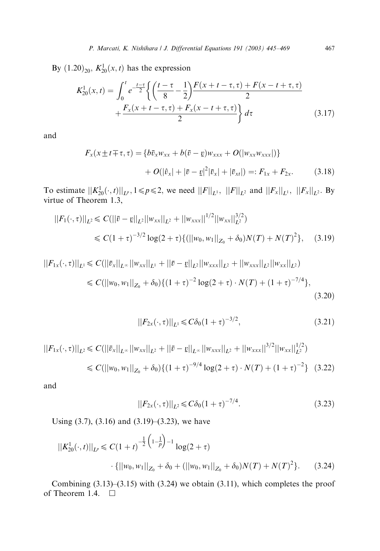By  $(1.20)_{20}$ ,  $K_{20}^{1}(x, t)$  has the expression

$$
K_{20}^{1}(x,t) = \int_{0}^{t} e^{-\frac{t-\tau}{2}} \left\{ \left( \frac{t-\tau}{8} - \frac{1}{2} \right) \frac{F(x+t-\tau,\tau) + F(x-t+\tau,\tau)}{2} + \frac{F_{x}(x+t-\tau,\tau) + F_{x}(x-t+\tau,\tau)}{2} \right\} d\tau \tag{3.17}
$$

and

$$
F_x(x \pm t \mp \tau, \tau) = \{b\bar{v}_x w_{xx} + b(\bar{v} - \underline{v})w_{xxx} + O(|w_{xx}w_{xxx}|)\}
$$

$$
+ O(|\hat{v}_x| + |\bar{v} - \underline{v}|^2 |\bar{v}_x| + |\bar{v}_{xt}|) =: F_{1x} + F_{2x}.
$$
(3.18)

To estimate  $||K_{20}^1(\cdot, t)||_{L^p}$ ,  $1 \leq p \leq 2$ , we need  $||F||_{L^1}$ ,  $||F||_{L^2}$  and  $||F_x||_{L^1}$ ,  $||F_x||_{L^2}$ . By virtue of Theorem 1.3,

$$
||F_1(\cdot, \tau)||_{L^2} \leq C(||\bar{v} - \underline{v}||_{L^2}||w_{xx}||_{L^2} + ||w_{xxx}||^{1/2}||w_{xx}||_{L^2}^{3/2})
$$
  
 
$$
\leq C(1+\tau)^{-3/2} \log(2+\tau) \{ (||w_0, w_1||_{Z_0} + \delta_0) N(T) + N(T)^2 \}, \quad (3.19)
$$

$$
||F_{1x}(\cdot,\tau)||_{L^{1}} \leq C(||\bar{v}_{x}||_{L^{\infty}}||w_{xx}||_{L^{1}} + ||\bar{v} - \underline{v}||_{L^{2}}||w_{xxx}||_{L^{2}} + ||w_{xxx}||_{L^{2}}||w_{xx}||_{L^{2}})
$$
  

$$
\leq C(||w_{0},w_{1}||_{Z_{0}} + \delta_{0})\{(1+\tau)^{-2}\log(2+\tau)\cdot N(T) + (1+\tau)^{-7/4}\}, \tag{3.20}
$$

$$
||F_{2x}(\cdot,\tau)||_{L^1} \leq C\delta_0(1+\tau)^{-3/2},
$$
\n(3.21)

$$
||F_{1x}(\cdot,\tau)||_{L^2} \leq C(||\bar{v}_x||_{L^\infty}||w_{xx}||_{L^2} + ||\bar{v} - \underline{v}||_{L^\infty}||w_{xxx}||_{L^2} + ||w_{xxx}||^{3/2}||w_{xx}||_{L^2}^{1/2})
$$
  
\n
$$
\leq C(||w_0, w_1||_{Z_0} + \delta_0) \{(1+\tau)^{-9/4} \log(2+\tau) \cdot N(T) + (1+\tau)^{-2}\} \quad (3.22)
$$

and

$$
||F_{2x}(\cdot,\tau)||_{L^2} \leq C\delta_0(1+\tau)^{-7/4}.
$$
\n(3.23)

Using  $(3.7)$ ,  $(3.16)$  and  $(3.19)$ – $(3.23)$ , we have

$$
||K_{20}^{1}(\cdot,t)||_{L^{p}} \leq C(1+t)^{-\frac{1}{2}\left(1-\frac{1}{p}\right)-1} \log(2+\tau)
$$

$$
\cdot \{||w_{0}, w_{1}||_{Z_{0}} + \delta_{0} + (||w_{0}, w_{1}||_{Z_{0}} + \delta_{0})N(T) + N(T)^{2}\}.
$$
 (3.24)

Combining (3.13)–(3.15) with (3.24) we obtain (3.11), which completes the proof of Theorem 1.4.  $\Box$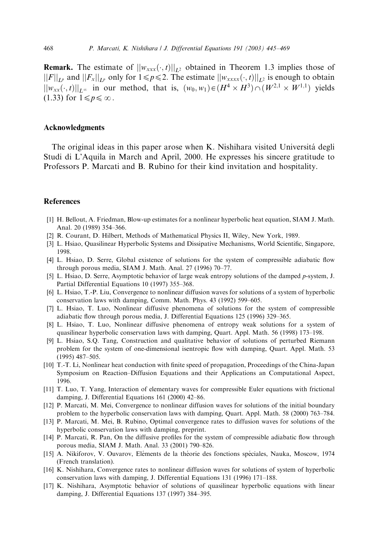<span id="page-23-0"></span>**Remark.** The estimate of  $||w_{xxx}(\cdot,t)||_{L^2}$  obtained in Theorem 1.3 implies those of  $||F||_{L^p}$  and  $||F_x||_{L^p}$  only for  $1 \leq p \leq 2$ . The estimate  $||w_{xxxx}(\cdot, t)||_{L^2}$  is enough to obtain  $||w_{xx}(\cdot, t)||_{L^{\infty}}$  in our method, that is,  $(w_0, w_1) \in (H^4 \times H^3) \cap (W^{2,1} \times W^{1,1})$  yields  $(1.33)$  for  $1 \leq p \leq \infty$ .

#### Acknowledgments

The original ideas in this paper arose when K. Nishihara visited Universita´ degli Studi di L'Aquila in March and April, 2000. He expresses his sincere gratitude to Professors P. Marcati and B. Rubino for their kind invitation and hospitality.

#### References

- [1] H. Bellout, A. Friedman, Blow-up estimates for a nonlinear hyperbolic heat equation, SIAM J. Math. Anal. 20 (1989) 354–366.
- [2] R. Courant, D. Hilbert, Methods of Mathematical Physics II, Wiley, New York, 1989.
- [3] L. Hsiao, Quasilinear Hyperbolic Systems and Dissipative Mechanisms, World Scientific, Singapore, 1998.
- [4] L. Hsiao, D. Serre, Global existence of solutions for the system of compressible adiabatic flow through porous media, SIAM J. Math. Anal. 27 (1996) 70–77.
- [5] L. Hsiao, D. Serre, Asymptotic behavior of large weak entropy solutions of the damped p-system, J. Partial Differential Equations 10 (1997) 355–368.
- [6] L. Hsiao, T.-P. Liu, Convergence to nonlinear diffusion waves for solutions of a system of hyperbolic conservation laws with damping, Comm. Math. Phys. 43 (1992) 599–605.
- [7] L. Hsiao, T. Luo, Nonlinear diffusive phenomena of solutions for the system of compressible adiabatic flow through porous media, J. Differential Equations 125 (1996) 329–365.
- [8] L. Hsiao, T. Luo, Nonlinear diffusive phenomena of entropy weak solutions for a system of quasilinear hyperbolic conservation laws with damping, Quart. Appl. Math. 56 (1998) 173–198.
- [9] L. Hsiao, S.Q. Tang, Construction and qualitative behavior of solutions of perturbed Riemann problem for the system of one-dimensional isentropic flow with damping, Quart. Appl. Math. 53 (1995) 487–505.
- [10] T.-T. Li, Nonlinear heat conduction with finite speed of propagation, Proceedings of the China-Japan Symposium on Reaction–Diffusion Equations and their Applications an Computational Aspect, 1996.
- [11] T. Luo, T. Yang, Interaction of elementary waves for compressible Euler equations with frictional damping, J. Differential Equations 161 (2000) 42–86.
- [12] P. Marcati, M. Mei, Convergence to nonlinear diffusion waves for solutions of the initial boundary problem to the hyperbolic conservation laws with damping, Quart. Appl. Math. 58 (2000) 763–784.
- [13] P. Marcati, M. Mei, B. Rubino, Optimal convergence rates to diffusion waves for solutions of the hyperbolic conservation laws with damping, preprint.
- [14] P. Marcati, R. Pan, On the diffusive profiles for the system of compressible adiabatic flow through porous media, SIAM J. Math. Anal. 33 (2001) 790–826.
- [15] A. Nikiforov, V. Ouvarov, Eléments de la théorie des fonctions spéciales, Nauka, Moscow, 1974 (French translation).
- [16] K. Nishihara, Convergence rates to nonlinear diffusion waves for solutions of system of hyperbolic conservation laws with damping, J. Differential Equations 131 (1996) 171–188.
- [17] K. Nishihara, Asymptotic behavior of solutions of quasilinear hyperbolic equations with linear damping, J. Differential Equations 137 (1997) 384–395.